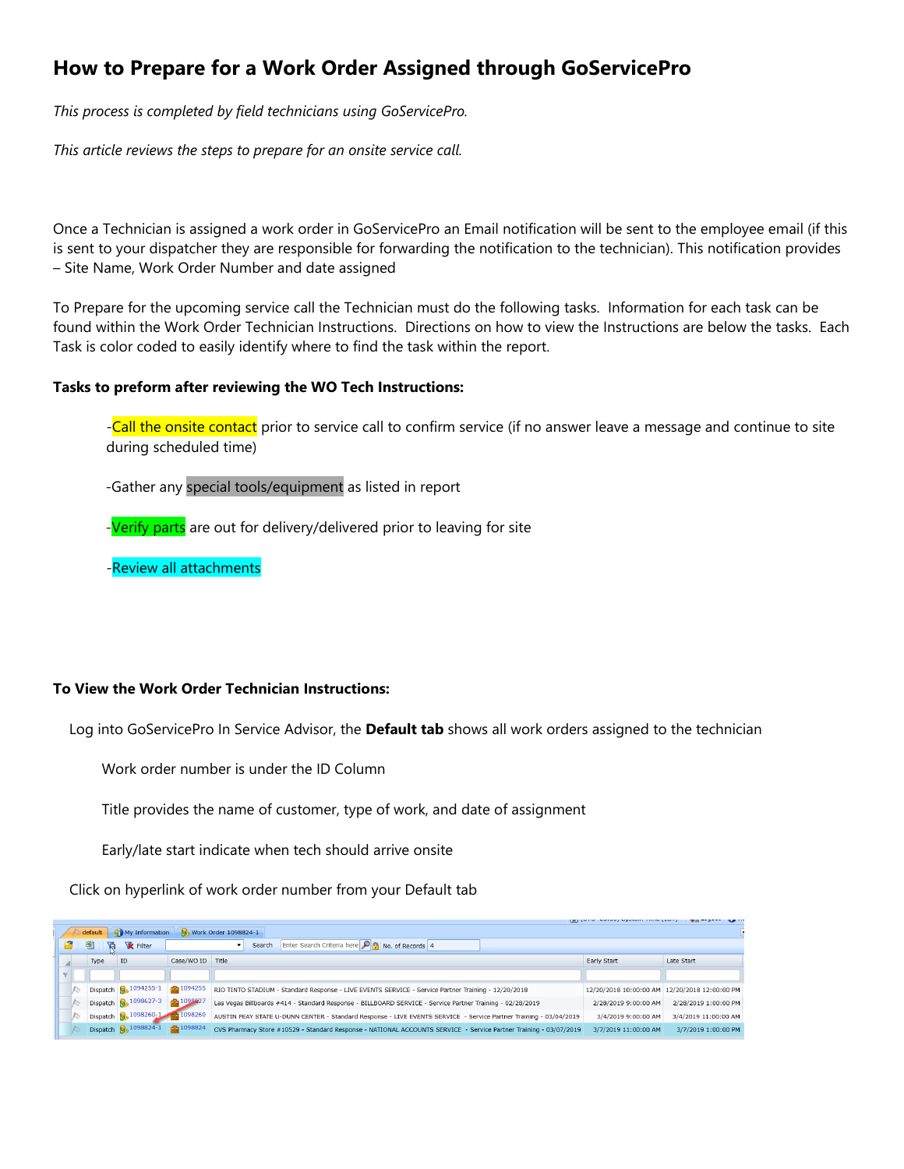# **How to Prepare for a Work Order Assigned through GoServicePro**

*This process is completed by field technicians using GoServicePro.*

*This article reviews the steps to prepare for an onsite service call.* 

Once a Technician is assigned a work order in GoServicePro an Email notification will be sent to the employee email (if this is sent to your dispatcher they are responsible for forwarding the notification to the technician). This notification provides – Site Name, Work Order Number and date assigned

To Prepare for the upcoming service call the Technician must do the following tasks. Information for each task can be found within the Work Order Technician Instructions. Directions on how to view the Instructions are below the tasks. Each Task is color coded to easily identify where to find the task within the report.

# **Tasks to preform after reviewing the WO Tech Instructions:**

-Call the onsite contact prior to service call to confirm service (if no answer leave a message and continue to site during scheduled time)

-Gather any special tools/equipment as listed in report

-Verify parts are out for delivery/delivered prior to leaving for site

-Review all attachments

# **To View the Work Order Technician Instructions:**

Log into GoServicePro In Service Advisor, the **Default tab** shows all work orders assigned to the technician

Work order number is under the ID Column

Title provides the name of customer, type of work, and date of assignment

Early/late start indicate when tech should arrive onsite

Click on hyperlink of work order number from your Default tab

|  | default | My Information                           |                        | <b>S</b> Work Order 1098824-1                                                                                     |                        |                        |
|--|---------|------------------------------------------|------------------------|-------------------------------------------------------------------------------------------------------------------|------------------------|------------------------|
|  | 鬯       | <b>X</b> Filter                          |                        | Enter Search Criteria here <b>PR</b> No. of Records 4<br>Search                                                   |                        |                        |
|  | Type    | ID                                       | Case/WO ID Title       |                                                                                                                   | <b>Early Start</b>     | Late Start             |
|  |         |                                          |                        |                                                                                                                   |                        |                        |
|  |         | Dispatch <b>Q</b> <sub>2</sub> 1094255-1 | $\frac{1}{2}1094255$   | RIO TINTO STADIUM - Standard Response - LIVE EVENTS SERVICE - Service Partner Training - 12/20/2018               | 12/20/2018 10:00:00 AM | 12/20/2018 12:00:00 PM |
|  |         | Dispatch 8, 1098627-3                    | $\frac{1}{21}$ 1098927 | Las Vegas Billboards #414 - Standard Response - BILLBOARD SERVICE - Service Partner Training - 02/28/2019         | 2/28/2019 9:00:00 AM   | 2/28/2019 1:00:00 PM   |
|  |         | Dispatch 8, 1098260-1                    | 1098260                | AUSTIN PEAY STATE U-DUNN CENTER - Standard Response - LIVE EVENTS SERVICE - Service Partner Training - 03/04/2019 | 3/4/2019 9:00:00 AM    | 3/4/2019 11:00:00 AM   |
|  |         | Dispatch 8, 1098824-1                    | $\frac{1}{2}$ 1098824  | CVS Pharmacy Store #10529 - Standard Response - NATIONAL ACCOUNTS SERVICE - Service Partner Training - 03/07/2019 | 3/7/2019 11:00:00 AM   | 3/7/2019 1:00:00 PM    |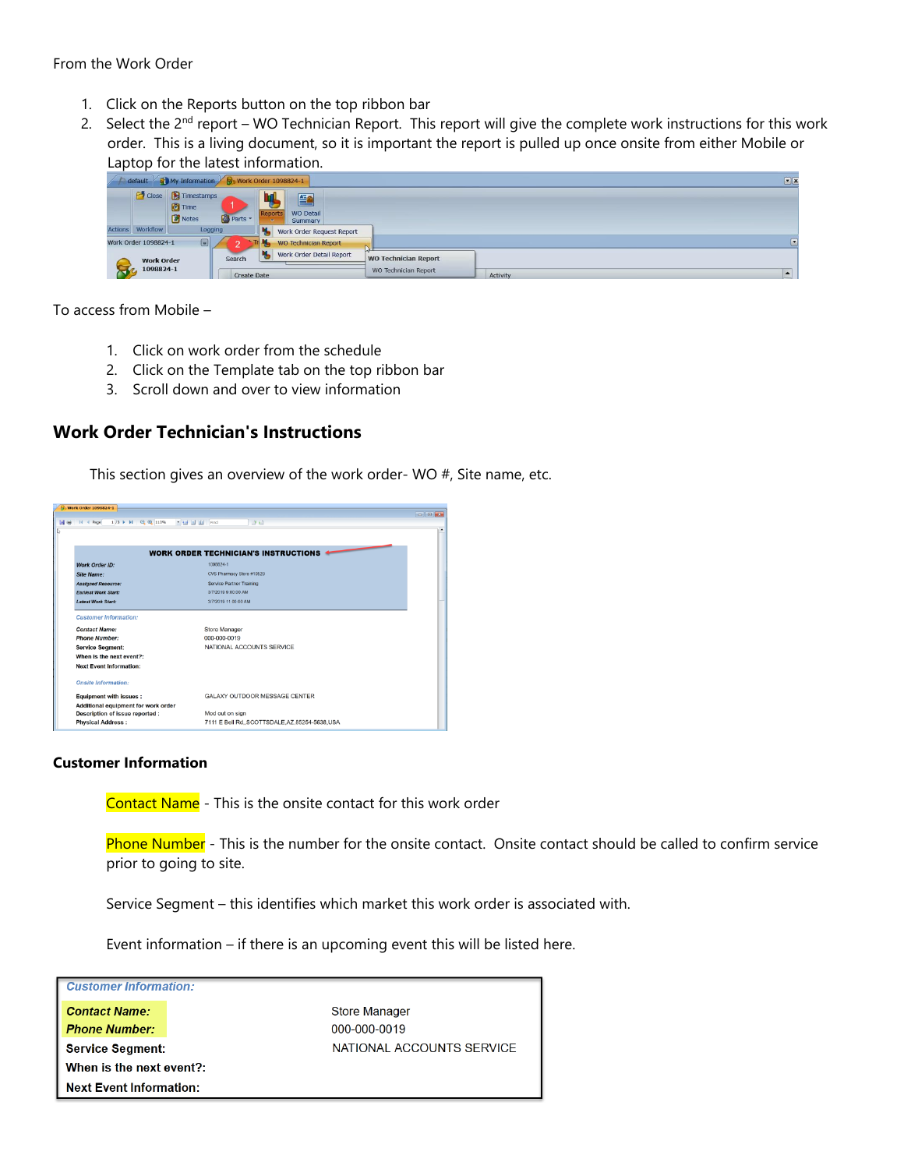#### From the Work Order

- 1. Click on the Reports button on the top ribbon bar
- 2. Select the 2<sup>nd</sup> report WO Technician Report. This report will give the complete work instructions for this work order. This is a living document, so it is important the report is pulled up once onsite from either Mobile or Laptop for the latest information.



To access from Mobile –

- 1. Click on work order from the schedule
- 2. Click on the Template tab on the top ribbon bar
- 3. Scroll down and over to view information

# **Work Order Technician's Instructions**

This section gives an overview of the work order- WO #, Site name, etc.



#### **Customer Information**

Contact Name - This is the onsite contact for this work order

Phone Number - This is the number for the onsite contact. Onsite contact should be called to confirm service prior to going to site.

Service Segment – this identifies which market this work order is associated with.

Event information – if there is an upcoming event this will be listed here.

| <b>Customer Information:</b>   |  |  |  |  |  |
|--------------------------------|--|--|--|--|--|
| <b>Contact Name:</b>           |  |  |  |  |  |
| <b>Phone Number:</b>           |  |  |  |  |  |
| <b>Service Segment:</b>        |  |  |  |  |  |
| When is the next event?:       |  |  |  |  |  |
| <b>Next Event Information:</b> |  |  |  |  |  |

**Store Manager** 000-000-0019 NATIONAL ACCOUNTS SERVICE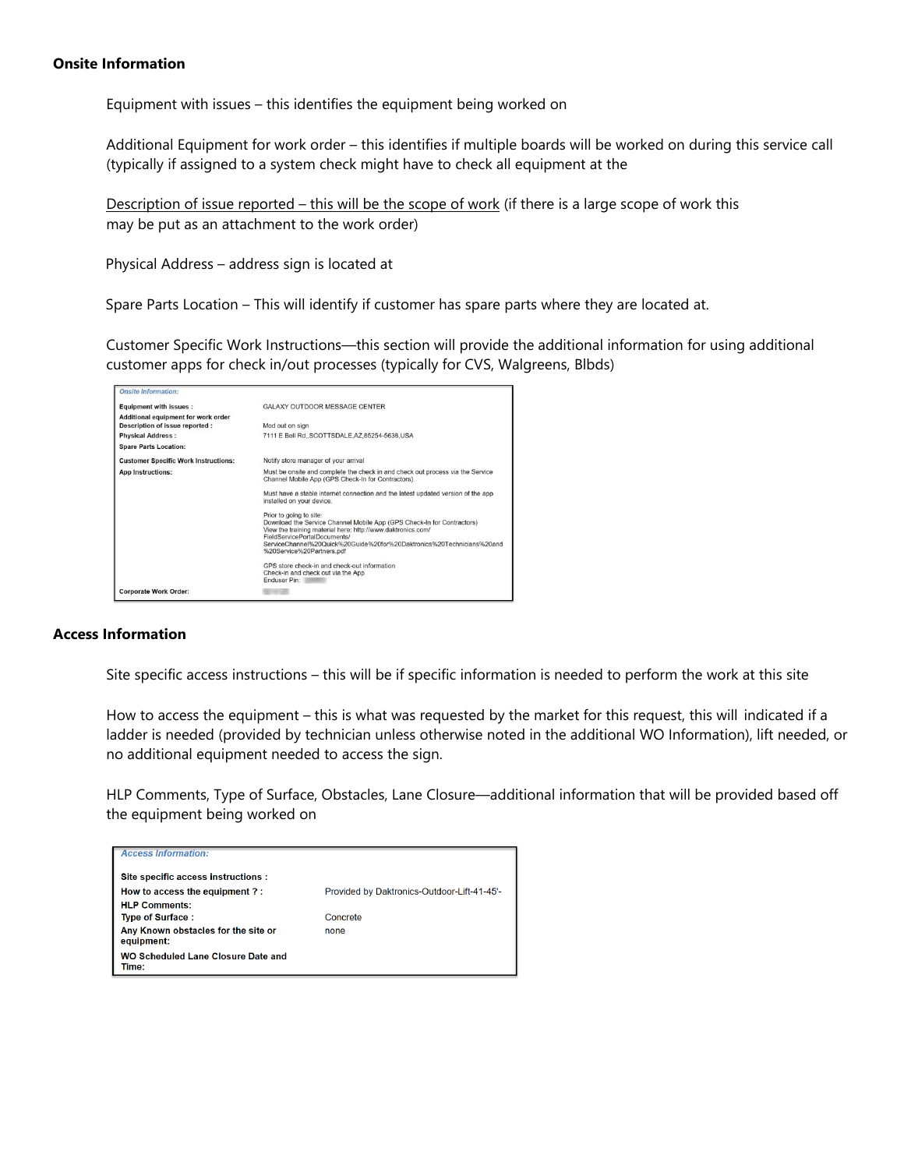#### **Onsite Information**

Equipment with issues – this identifies the equipment being worked on

Additional Equipment for work order – this identifies if multiple boards will be worked on during this service call (typically if assigned to a system check might have to check all equipment at the

Description of issue reported – this will be the scope of work (if there is a large scope of work this may be put as an attachment to the work order)

Physical Address – address sign is located at

Spare Parts Location – This will identify if customer has spare parts where they are located at.

Customer Specific Work Instructions—this section will provide the additional information for using additional customer apps for check in/out processes (typically for CVS, Walgreens, Blbds)

| <b>Onsite Information:</b>                  |                                                                                                                                                                                                                                                                                                        |  |  |  |
|---------------------------------------------|--------------------------------------------------------------------------------------------------------------------------------------------------------------------------------------------------------------------------------------------------------------------------------------------------------|--|--|--|
| <b>Equipment with issues:</b>               | <b>GALAXY OUTDOOR MESSAGE CENTER</b>                                                                                                                                                                                                                                                                   |  |  |  |
| Additional equipment for work order         |                                                                                                                                                                                                                                                                                                        |  |  |  |
| Description of issue reported :             | Mod out on sign                                                                                                                                                                                                                                                                                        |  |  |  |
| <b>Physical Address:</b>                    | 7111 E Bell Rd., SCOTTSDALE, AZ, 85254-5638, USA                                                                                                                                                                                                                                                       |  |  |  |
| <b>Spare Parts Location:</b>                |                                                                                                                                                                                                                                                                                                        |  |  |  |
| <b>Customer Specific Work Instructions:</b> | Notify store manager of your arrival                                                                                                                                                                                                                                                                   |  |  |  |
| <b>App Instructions:</b>                    | Must be onsite and complete the check in and check out process via the Service<br>Channel Mobile App (GPS Check-In for Contractors).                                                                                                                                                                   |  |  |  |
|                                             | Must have a stable internet connection and the latest updated version of the app<br>installed on your device.                                                                                                                                                                                          |  |  |  |
|                                             | Prior to going to site:<br>Download the Service Channel Mobile App (GPS Check-In for Contractors)<br>View the training material here: http://www.daktronics.com/<br>FieldServicePortalDocuments/<br>ServiceChannel%20Quick%20Guide%20for%20Daktronics%20Technicians%20and<br>%20Service%20Partners.pdf |  |  |  |
|                                             | GPS store check-in and check-out information<br>Check-in and check out via the App<br>Enduser Pin:                                                                                                                                                                                                     |  |  |  |
| <b>Corporate Work Order:</b>                |                                                                                                                                                                                                                                                                                                        |  |  |  |

### **Access Information**

Site specific access instructions – this will be if specific information is needed to perform the work at this site

 How to access the equipment – this is what was requested by the market for this request, this will indicated if a ladder is needed (provided by technician unless otherwise noted in the additional WO Information), lift needed, or no additional equipment needed to access the sign.

HLP Comments, Type of Surface, Obstacles, Lane Closure—additional information that will be provided based off the equipment being worked on

| <b>Access Information:</b>                        |                                             |  |  |  |  |  |
|---------------------------------------------------|---------------------------------------------|--|--|--|--|--|
| Site specific access instructions :               |                                             |  |  |  |  |  |
| How to access the equipment ?:                    | Provided by Daktronics-Outdoor-Lift-41-45'- |  |  |  |  |  |
| <b>HLP Comments:</b>                              |                                             |  |  |  |  |  |
| Type of Surface:                                  | Concrete                                    |  |  |  |  |  |
| Any Known obstacles for the site or<br>equipment: | none                                        |  |  |  |  |  |
| WO Scheduled Lane Closure Date and<br>Time:       |                                             |  |  |  |  |  |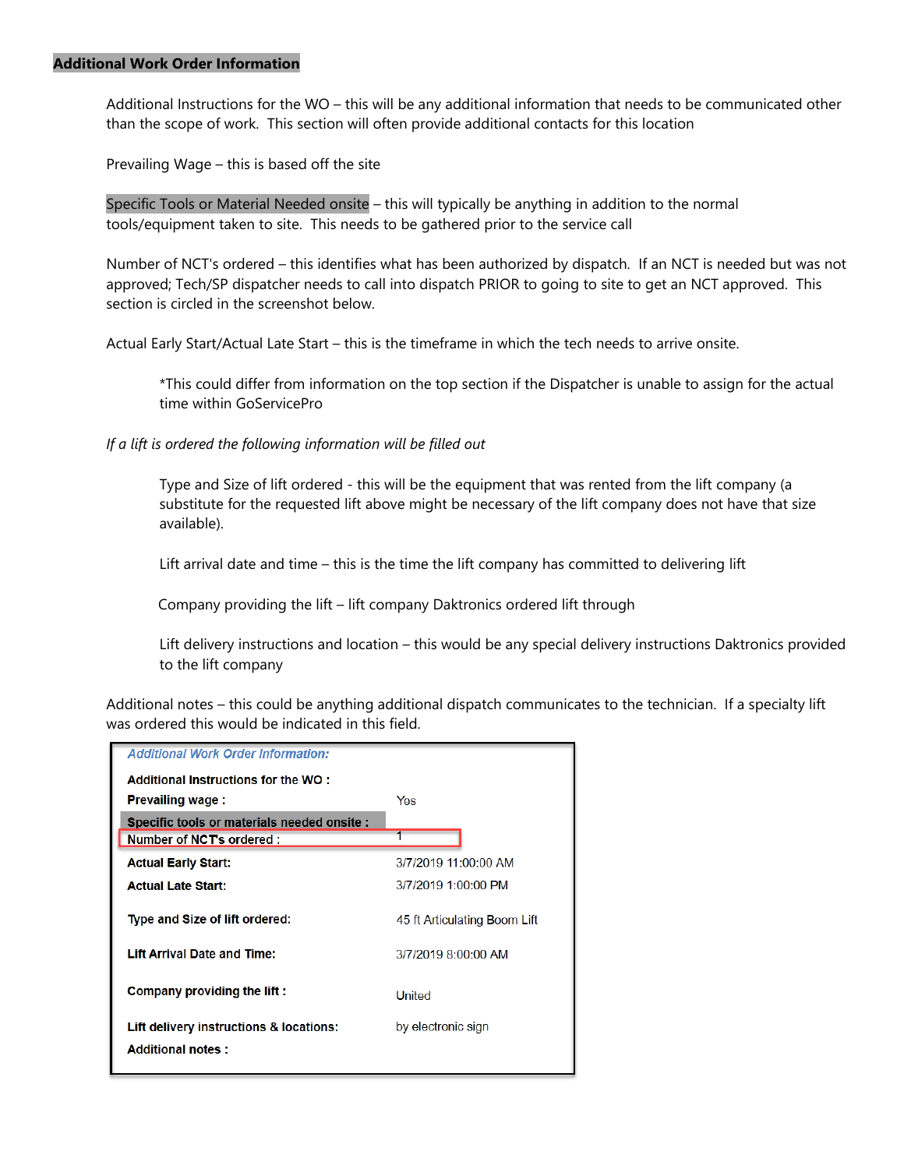#### **Additional Work Order Information**

Additional Instructions for the WO – this will be any additional information that needs to be communicated other than the scope of work. This section will often provide additional contacts for this location

Prevailing Wage – this is based off the site

Specific Tools or Material Needed onsite – this will typically be anything in addition to the normal tools/equipment taken to site. This needs to be gathered prior to the service call

Number of NCT's ordered – this identifies what has been authorized by dispatch. If an NCT is needed but was not approved; Tech/SP dispatcher needs to call into dispatch PRIOR to going to site to get an NCT approved. This section is circled in the screenshot below.

Actual Early Start/Actual Late Start – this is the timeframe in which the tech needs to arrive onsite.

\*This could differ from information on the top section if the Dispatcher is unable to assign for the actual time within GoServicePro

*If a lift is ordered the following information will be filled out*

Type and Size of lift ordered - this will be the equipment that was rented from the lift company (a substitute for the requested lift above might be necessary of the lift company does not have that size available).

Lift arrival date and time – this is the time the lift company has committed to delivering lift

Company providing the lift – lift company Daktronics ordered lift through

Lift delivery instructions and location – this would be any special delivery instructions Daktronics provided to the lift company

Additional notes – this could be anything additional dispatch communicates to the technician. If a specialty lift was ordered this would be indicated in this field.

| <b>Additional Work Order Information:</b>   |                              |  |  |
|---------------------------------------------|------------------------------|--|--|
| Additional Instructions for the WO :        |                              |  |  |
| <b>Prevailing wage:</b>                     | Yes                          |  |  |
| Specific tools or materials needed onsite : |                              |  |  |
| Number of NCT's ordered :                   |                              |  |  |
| <b>Actual Early Start:</b>                  | 3/7/2019 11:00:00 AM         |  |  |
| <b>Actual Late Start:</b>                   | 3/7/2019 1:00:00 PM          |  |  |
| Type and Size of lift ordered:              | 45 ft Articulating Boom Lift |  |  |
| <b>Lift Arrival Date and Time:</b>          | 3/7/2019 8:00:00 AM          |  |  |
| Company providing the lift:                 | United                       |  |  |
| Lift delivery instructions & locations:     | by electronic sign           |  |  |
| <b>Additional notes:</b>                    |                              |  |  |